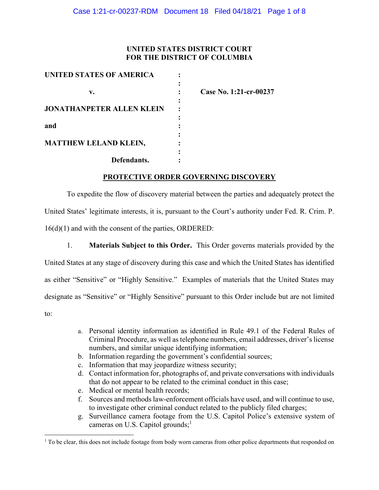### **UNITED STATES DISTRICT COURT FOR THE DISTRICT OF COLUMBIA**

| UNITED STATES OF AMERICA         |                        |
|----------------------------------|------------------------|
|                                  |                        |
| v.                               | Case No. 1:21-cr-00237 |
|                                  |                        |
| <b>JONATHANPETER ALLEN KLEIN</b> |                        |
|                                  |                        |
| and                              |                        |
|                                  |                        |
| MATTHEW LELAND KLEIN,            |                        |
|                                  |                        |
| Defendants.                      |                        |

**PROTECTIVE ORDER GOVERNING DISCOVERY** 

To expedite the flow of discovery material between the parties and adequately protect the United States' legitimate interests, it is, pursuant to the Court's authority under Fed. R. Crim. P. 16(d)(1) and with the consent of the parties, ORDERED:

1. **Materials Subject to this Order.** This Order governs materials provided by the United States at any stage of discovery during this case and which the United States has identified as either "Sensitive" or "Highly Sensitive." Examples of materials that the United States may designate as "Sensitive" or "Highly Sensitive" pursuant to this Order include but are not limited to:

- a. Personal identity information as identified in Rule 49.1 of the Federal Rules of Criminal Procedure, as well as telephone numbers, email addresses, driver's license numbers, and similar unique identifying information;
- b. Information regarding the government's confidential sources;
- c. Information that may jeopardize witness security;
- d. Contact information for, photographs of, and private conversations with individuals that do not appear to be related to the criminal conduct in this case;
- e. Medical or mental health records;
- f. Sources and methods law-enforcement officials have used, and will continue to use, to investigate other criminal conduct related to the publicly filed charges;
- g. Surveillance camera footage from the U.S. Capitol Police's extensive system of cameras on U.S. Capitol grounds;<sup>1</sup>

<sup>&</sup>lt;sup>1</sup> To be clear, this does not include footage from body worn cameras from other police departments that responded on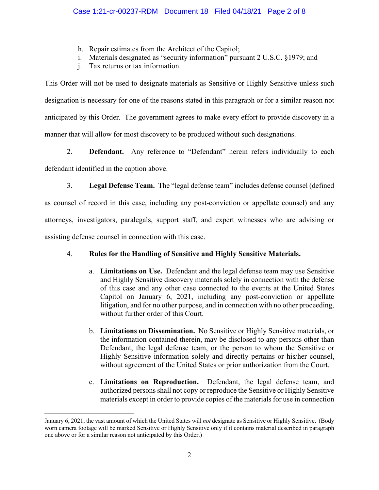- h. Repair estimates from the Architect of the Capitol;
- i. Materials designated as "security information" pursuant 2 U.S.C. §1979; and
- j. Tax returns or tax information.

This Order will not be used to designate materials as Sensitive or Highly Sensitive unless such designation is necessary for one of the reasons stated in this paragraph or for a similar reason not anticipated by this Order. The government agrees to make every effort to provide discovery in a manner that will allow for most discovery to be produced without such designations.

2. **Defendant.** Any reference to "Defendant" herein refers individually to each defendant identified in the caption above.

3. **Legal Defense Team.** The "legal defense team" includes defense counsel (defined as counsel of record in this case, including any post-conviction or appellate counsel) and any attorneys, investigators, paralegals, support staff, and expert witnesses who are advising or assisting defense counsel in connection with this case.

## 4. **Rules for the Handling of Sensitive and Highly Sensitive Materials.**

- a. **Limitations on Use.** Defendant and the legal defense team may use Sensitive and Highly Sensitive discovery materials solely in connection with the defense of this case and any other case connected to the events at the United States Capitol on January 6, 2021, including any post-conviction or appellate litigation, and for no other purpose, and in connection with no other proceeding, without further order of this Court.
- b. **Limitations on Dissemination.** No Sensitive or Highly Sensitive materials, or the information contained therein, may be disclosed to any persons other than Defendant, the legal defense team, or the person to whom the Sensitive or Highly Sensitive information solely and directly pertains or his/her counsel, without agreement of the United States or prior authorization from the Court.
- c. **Limitations on Reproduction.** Defendant, the legal defense team, and authorized persons shall not copy or reproduce the Sensitive or Highly Sensitive materials except in order to provide copies of the materials for use in connection

January 6, 2021, the vast amount of which the United States will *not* designate as Sensitive or Highly Sensitive. (Body worn camera footage will be marked Sensitive or Highly Sensitive only if it contains material described in paragraph one above or for a similar reason not anticipated by this Order.)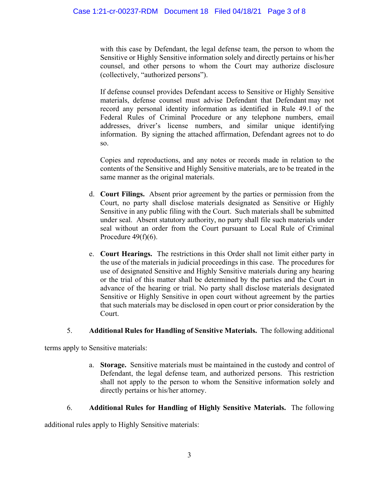with this case by Defendant, the legal defense team, the person to whom the Sensitive or Highly Sensitive information solely and directly pertains or his/her counsel, and other persons to whom the Court may authorize disclosure (collectively, "authorized persons").

If defense counsel provides Defendant access to Sensitive or Highly Sensitive materials, defense counsel must advise Defendant that Defendant may not record any personal identity information as identified in Rule 49.1 of the Federal Rules of Criminal Procedure or any telephone numbers, email addresses, driver's license numbers, and similar unique identifying information. By signing the attached affirmation, Defendant agrees not to do so.

Copies and reproductions, and any notes or records made in relation to the contents of the Sensitive and Highly Sensitive materials, are to be treated in the same manner as the original materials.

- d. **Court Filings.** Absent prior agreement by the parties or permission from the Court, no party shall disclose materials designated as Sensitive or Highly Sensitive in any public filing with the Court. Such materials shall be submitted under seal. Absent statutory authority, no party shall file such materials under seal without an order from the Court pursuant to Local Rule of Criminal Procedure  $49(f)(6)$ .
- e. **Court Hearings.** The restrictions in this Order shall not limit either party in the use of the materials in judicial proceedings in this case. The procedures for use of designated Sensitive and Highly Sensitive materials during any hearing or the trial of this matter shall be determined by the parties and the Court in advance of the hearing or trial. No party shall disclose materials designated Sensitive or Highly Sensitive in open court without agreement by the parties that such materials may be disclosed in open court or prior consideration by the Court.

## 5. **Additional Rules for Handling of Sensitive Materials.** The following additional

terms apply to Sensitive materials:

a. **Storage.** Sensitive materials must be maintained in the custody and control of Defendant, the legal defense team, and authorized persons. This restriction shall not apply to the person to whom the Sensitive information solely and directly pertains or his/her attorney.

## 6. **Additional Rules for Handling of Highly Sensitive Materials.** The following

additional rules apply to Highly Sensitive materials: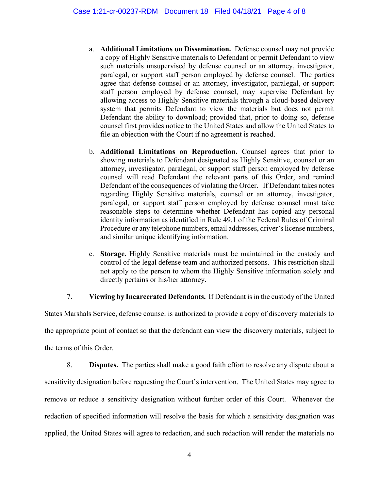- a. **Additional Limitations on Dissemination.** Defense counsel may not provide a copy of Highly Sensitive materials to Defendant or permit Defendant to view such materials unsupervised by defense counsel or an attorney, investigator, paralegal, or support staff person employed by defense counsel. The parties agree that defense counsel or an attorney, investigator, paralegal, or support staff person employed by defense counsel, may supervise Defendant by allowing access to Highly Sensitive materials through a cloud-based delivery system that permits Defendant to view the materials but does not permit Defendant the ability to download; provided that, prior to doing so, defense counsel first provides notice to the United States and allow the United States to file an objection with the Court if no agreement is reached.
- b. **Additional Limitations on Reproduction.** Counsel agrees that prior to showing materials to Defendant designated as Highly Sensitive, counsel or an attorney, investigator, paralegal, or support staff person employed by defense counsel will read Defendant the relevant parts of this Order, and remind Defendant of the consequences of violating the Order. If Defendant takes notes regarding Highly Sensitive materials, counsel or an attorney, investigator, paralegal, or support staff person employed by defense counsel must take reasonable steps to determine whether Defendant has copied any personal identity information as identified in Rule 49.1 of the Federal Rules of Criminal Procedure or any telephone numbers, email addresses, driver's license numbers, and similar unique identifying information.
- c. **Storage.** Highly Sensitive materials must be maintained in the custody and control of the legal defense team and authorized persons. This restriction shall not apply to the person to whom the Highly Sensitive information solely and directly pertains or his/her attorney.

7. **Viewing by Incarcerated Defendants.** If Defendant is in the custody of the United

States Marshals Service, defense counsel is authorized to provide a copy of discovery materials to the appropriate point of contact so that the defendant can view the discovery materials, subject to the terms of this Order.

8. **Disputes.** The parties shall make a good faith effort to resolve any dispute about a sensitivity designation before requesting the Court's intervention. The United States may agree to remove or reduce a sensitivity designation without further order of this Court. Whenever the redaction of specified information will resolve the basis for which a sensitivity designation was applied, the United States will agree to redaction, and such redaction will render the materials no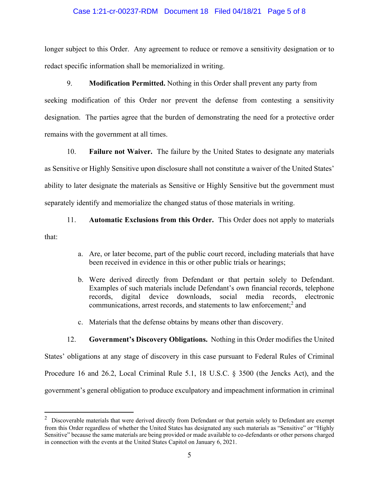### Case 1:21-cr-00237-RDM Document 18 Filed 04/18/21 Page 5 of 8

longer subject to this Order. Any agreement to reduce or remove a sensitivity designation or to redact specific information shall be memorialized in writing.

### 9. **Modification Permitted.** Nothing in this Order shall prevent any party from

seeking modification of this Order nor prevent the defense from contesting a sensitivity designation. The parties agree that the burden of demonstrating the need for a protective order remains with the government at all times.

10. **Failure not Waiver.** The failure by the United States to designate any materials as Sensitive or Highly Sensitive upon disclosure shall not constitute a waiver of the United States' ability to later designate the materials as Sensitive or Highly Sensitive but the government must separately identify and memorialize the changed status of those materials in writing.

# 11. **Automatic Exclusions from this Order.** This Order does not apply to materials that:

- a. Are, or later become, part of the public court record, including materials that have been received in evidence in this or other public trials or hearings;
- b. Were derived directly from Defendant or that pertain solely to Defendant. Examples of such materials include Defendant's own financial records, telephone records, digital device downloads, social media records, electronic communications, arrest records, and statements to law enforcement;<sup>2</sup> and
- c. Materials that the defense obtains by means other than discovery.

# 12. **Government's Discovery Obligations.** Nothing in this Order modifies the United States' obligations at any stage of discovery in this case pursuant to Federal Rules of Criminal Procedure 16 and 26.2, Local Criminal Rule 5.1, 18 U.S.C. § 3500 (the Jencks Act), and the government's general obligation to produce exculpatory and impeachment information in criminal

 $2$  Discoverable materials that were derived directly from Defendant or that pertain solely to Defendant are exempt from this Order regardless of whether the United States has designated any such materials as "Sensitive" or "Highly Sensitive" because the same materials are being provided or made available to co-defendants or other persons charged in connection with the events at the United States Capitol on January 6, 2021.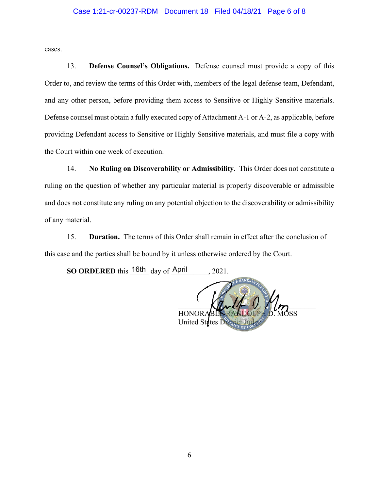### Case 1:21-cr-00237-RDM Document 18 Filed 04/18/21 Page 6 of 8

cases.

13. **Defense Counsel's Obligations.** Defense counsel must provide a copy of this Order to, and review the terms of this Order with, members of the legal defense team, Defendant, and any other person, before providing them access to Sensitive or Highly Sensitive materials. Defense counsel must obtain a fully executed copy of Attachment A-1 or A-2, as applicable, before providing Defendant access to Sensitive or Highly Sensitive materials, and must file a copy with the Court within one week of execution.

14. **No Ruling on Discoverability or Admissibility**. This Order does not constitute a ruling on the question of whether any particular material is properly discoverable or admissible and does not constitute any ruling on any potential objection to the discoverability or admissibility of any material.

15. **Duration.** The terms of this Order shall remain in effect after the conclusion of this case and the parties shall be bound by it unless otherwise ordered by the Court.

**SO ORDERED** this  $16th$  day of April , 2021.

 $\mathcal{N}$ HONORABLE RANDOLPH D. MOSS United States Distri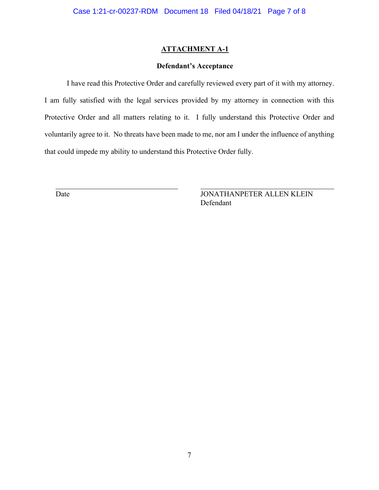### **ATTACHMENT A-1**

### **Defendant's Acceptance**

I have read this Protective Order and carefully reviewed every part of it with my attorney. I am fully satisfied with the legal services provided by my attorney in connection with this Protective Order and all matters relating to it. I fully understand this Protective Order and voluntarily agree to it. No threats have been made to me, nor am I under the influence of anything that could impede my ability to understand this Protective Order fully.

 $\overline{a}$ 

Date JONATHANPETER ALLEN KLEIN Defendant